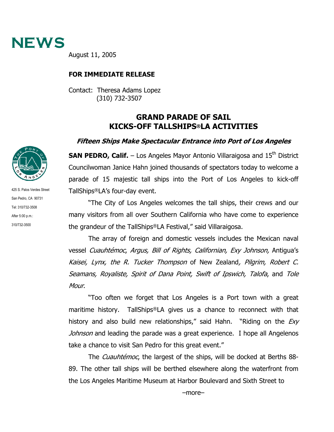

August 11, 2005

## **FOR IMMEDIATE RELEASE**

Contact: Theresa Adams Lopez (310) 732-3507

## **GRAND PARADE OF SAIL KICKS-OFF TALLSHIPS®LA ACTIVITIES**

## **Fifteen Ships Make Spectacular Entrance into Port of Los Angeles**

**SAN PEDRO, Calif.** – Los Angeles Mayor Antonio Villaraigosa and 15<sup>th</sup> District Councilwoman Janice Hahn joined thousands of spectators today to welcome a parade of 15 majestic tall ships into the Port of Los Angeles to kick-off TallShips®LA's four-day event.

"The City of Los Angeles welcomes the tall ships, their crews and our many visitors from all over Southern California who have come to experience the grandeur of the TallShips®LA Festival," said Villaraigosa.

The array of foreign and domestic vessels includes the Mexican naval vessel Cuauhtémoc, Argus, Bill of Rights, Californian, Exy Johnson, Antigua's Kaisei, Lynx, the R. Tucker Thompson of New Zealand, Pilgrim, Robert C. Seamans, Royaliste, Spirit of Dana Point, Swift of Ipswich, Talofa, and Tole Mour.

"Too often we forget that Los Angeles is a Port town with a great maritime history. TallShips®LA gives us a chance to reconnect with that history and also build new relationships," said Hahn. "Riding on the  $Exp$ Johnson and leading the parade was a great experience. I hope all Angelenos take a chance to visit San Pedro for this great event."

The *Cuauhtémoc*, the largest of the ships, will be docked at Berths 88-89. The other tall ships will be berthed elsewhere along the waterfront from the Los Angeles Maritime Museum at Harbor Boulevard and Sixth Street to



425 S. Palos Verdes Street San Pedro, CA 90731 Tel: 310/732-3508 After 5:00 p.m.: 310/732-3500